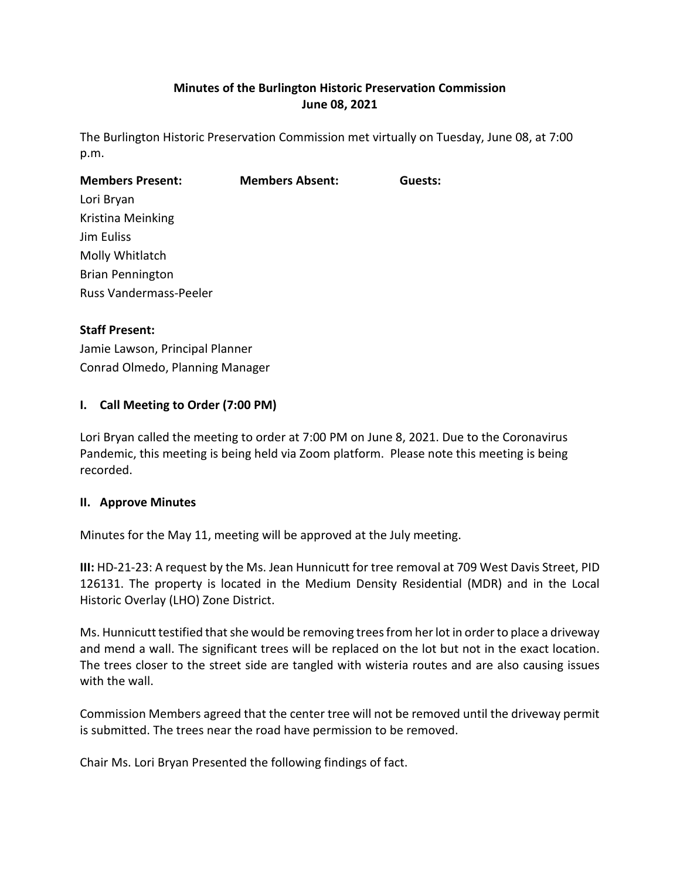# **Minutes of the Burlington Historic Preservation Commission June 08, 2021**

The Burlington Historic Preservation Commission met virtually on Tuesday, June 08, at 7:00 p.m.

| <b>Members Present:</b>       | <b>Members Absent:</b> | Guests: |
|-------------------------------|------------------------|---------|
| Lori Bryan                    |                        |         |
| Kristina Meinking             |                        |         |
| Jim Euliss                    |                        |         |
| Molly Whitlatch               |                        |         |
| <b>Brian Pennington</b>       |                        |         |
| <b>Russ Vandermass-Peeler</b> |                        |         |

## **Staff Present:**

Jamie Lawson, Principal Planner Conrad Olmedo, Planning Manager

## **I. Call Meeting to Order (7:00 PM)**

Lori Bryan called the meeting to order at 7:00 PM on June 8, 2021. Due to the Coronavirus Pandemic, this meeting is being held via Zoom platform. Please note this meeting is being recorded.

### **II. Approve Minutes**

Minutes for the May 11, meeting will be approved at the July meeting.

**III:** HD-21-23: A request by the Ms. Jean Hunnicutt for tree removal at 709 West Davis Street, PID 126131. The property is located in the Medium Density Residential (MDR) and in the Local Historic Overlay (LHO) Zone District.

Ms. Hunnicutt testified that she would be removing trees from her lot in order to place a driveway and mend a wall. The significant trees will be replaced on the lot but not in the exact location. The trees closer to the street side are tangled with wisteria routes and are also causing issues with the wall.

Commission Members agreed that the center tree will not be removed until the driveway permit is submitted. The trees near the road have permission to be removed.

Chair Ms. Lori Bryan Presented the following findings of fact.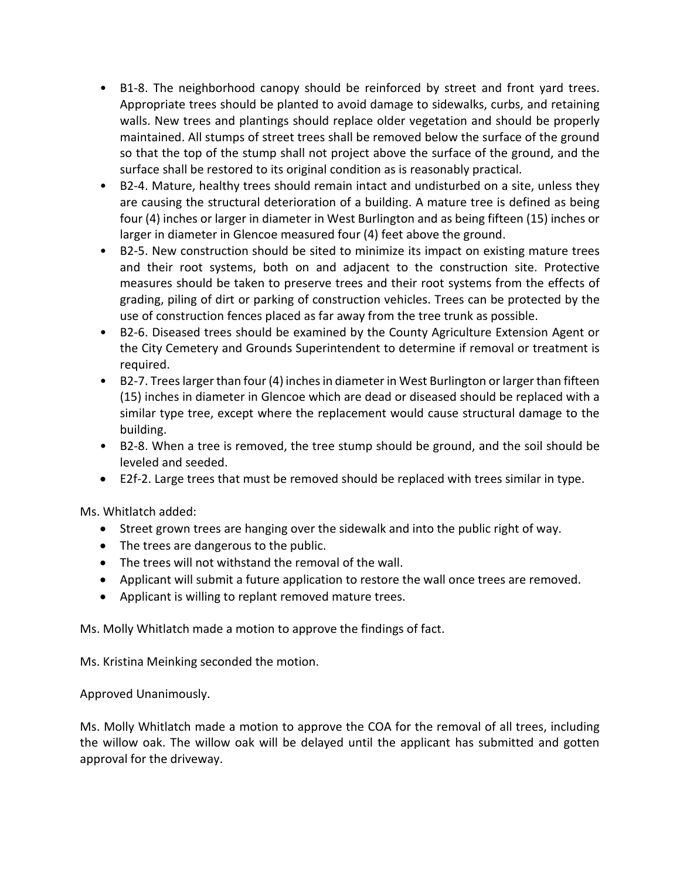- B1-8. The neighborhood canopy should be reinforced by street and front yard trees. Appropriate trees should be planted to avoid damage to sidewalks, curbs, and retaining walls. New trees and plantings should replace older vegetation and should be properly maintained. All stumps of street trees shall be removed below the surface of the ground so that the top of the stump shall not project above the surface of the ground, and the surface shall be restored to its original condition as is reasonably practical.
- B2-4. Mature, healthy trees should remain intact and undisturbed on a site, unless they are causing the structural deterioration of a building. A mature tree is defined as being four (4) inches or larger in diameter in West Burlington and as being fifteen (15) inches or larger in diameter in Glencoe measured four (4) feet above the ground.
- B2-5. New construction should be sited to minimize its impact on existing mature trees and their root systems, both on and adjacent to the construction site. Protective measures should be taken to preserve trees and their root systems from the effects of grading, piling of dirt or parking of construction vehicles. Trees can be protected by the use of construction fences placed as far away from the tree trunk as possible.
- B2-6. Diseased trees should be examined by the County Agriculture Extension Agent or the City Cemetery and Grounds Superintendent to determine if removal or treatment is required.
- B2-7. Trees larger than four (4) inches in diameter in West Burlington or larger than fifteen (15) inches in diameter in Glencoe which are dead or diseased should be replaced with a similar type tree, except where the replacement would cause structural damage to the building.
- B2-8. When a tree is removed, the tree stump should be ground, and the soil should be leveled and seeded.
- E2f-2. Large trees that must be removed should be replaced with trees similar in type.

Ms. Whitlatch added:

- Street grown trees are hanging over the sidewalk and into the public right of way.
- The trees are dangerous to the public.
- The trees will not withstand the removal of the wall.
- Applicant will submit a future application to restore the wall once trees are removed.
- Applicant is willing to replant removed mature trees.

Ms. Molly Whitlatch made a motion to approve the findings of fact.

Ms. Kristina Meinking seconded the motion.

Approved Unanimously.

Ms. Molly Whitlatch made a motion to approve the COA for the removal of all trees, including the willow oak. The willow oak will be delayed until the applicant has submitted and gotten approval for the driveway.